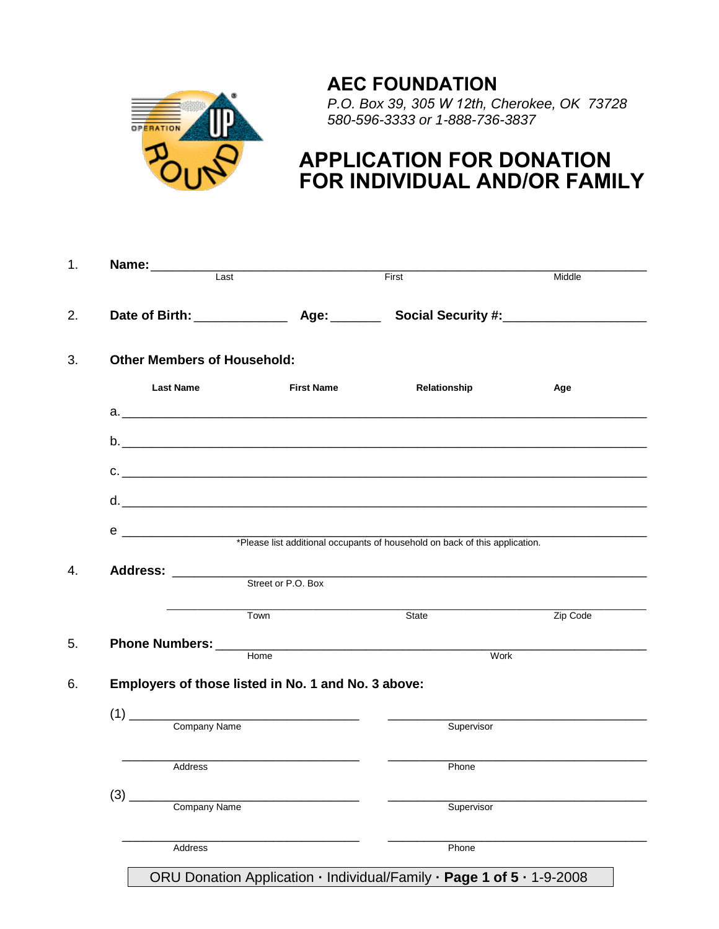## **AEC FOUNDATION**



*P.O. Box 39, 305 W 12th, Cherokee, OK 73728 580-596-3333 or 1-888-736-3837*

## **APPLICATION FOR DONATION FOR INDIVIDUAL AND/OR FAMILY**

| Name: ___________ | Last                               |                                                                           | First                                                                       | Middle   |
|-------------------|------------------------------------|---------------------------------------------------------------------------|-----------------------------------------------------------------------------|----------|
|                   |                                    |                                                                           |                                                                             |          |
|                   |                                    |                                                                           |                                                                             |          |
|                   | <b>Other Members of Household:</b> |                                                                           |                                                                             |          |
| <b>Last Name</b>  |                                    | <b>First Name</b>                                                         | Relationship                                                                | Age      |
|                   |                                    |                                                                           |                                                                             |          |
|                   |                                    |                                                                           |                                                                             |          |
|                   |                                    |                                                                           |                                                                             |          |
|                   |                                    |                                                                           | C.                                                                          |          |
|                   |                                    |                                                                           |                                                                             |          |
|                   |                                    |                                                                           |                                                                             |          |
|                   |                                    |                                                                           | *Please list additional occupants of household on back of this application. |          |
|                   |                                    |                                                                           |                                                                             |          |
|                   |                                    |                                                                           |                                                                             |          |
|                   |                                    | Street or P.O. Box                                                        |                                                                             |          |
|                   | Town                               |                                                                           | State                                                                       | Zip Code |
|                   |                                    |                                                                           |                                                                             |          |
|                   | Home                               |                                                                           | <b>Work</b>                                                                 |          |
|                   |                                    | Employers of those listed in No. 1 and No. 3 above:                       |                                                                             |          |
|                   |                                    |                                                                           |                                                                             |          |
|                   | Company Name                       | $(1) \begin{tabular}{l} \hline \hline \hline \hline \hline \end{tabular}$ | Supervisor                                                                  |          |
|                   |                                    |                                                                           |                                                                             |          |
|                   | Address                            |                                                                           | Phone                                                                       |          |
|                   |                                    |                                                                           |                                                                             |          |
| (3)               | Company Name                       |                                                                           | Supervisor                                                                  |          |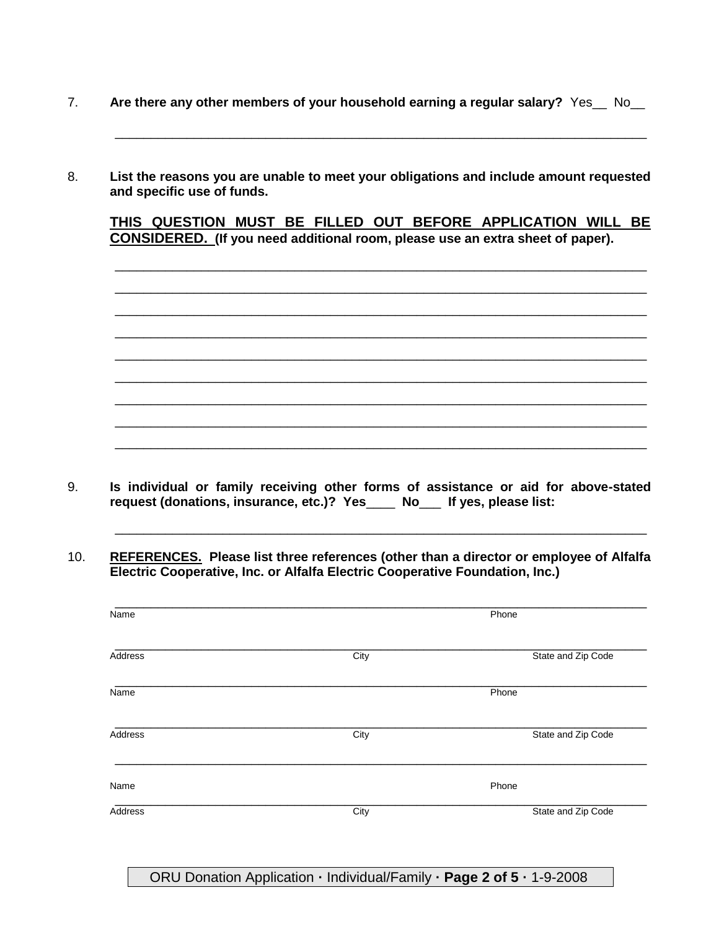- 7. Are there any other members of your household earning a regular salary? Yes\_No\_
- 8. **List the reasons you are unable to meet your obligations and include amount requested and specific use of funds.**

**THIS QUESTION MUST BE FILLED OUT BEFORE APPLICATION WILL BE CONSIDERED. (If you need additional room, please use an extra sheet of paper).**

\_\_\_\_\_\_\_\_\_\_\_\_\_\_\_\_\_\_\_\_\_\_\_\_\_\_\_\_\_\_\_\_\_\_\_\_\_\_\_\_\_\_\_\_\_\_\_\_\_\_\_\_\_\_\_\_\_\_\_\_\_\_\_\_\_\_\_\_\_\_\_\_\_\_ \_\_\_\_\_\_\_\_\_\_\_\_\_\_\_\_\_\_\_\_\_\_\_\_\_\_\_\_\_\_\_\_\_\_\_\_\_\_\_\_\_\_\_\_\_\_\_\_\_\_\_\_\_\_\_\_\_\_\_\_\_\_\_\_\_\_\_\_\_\_\_\_\_\_ \_\_\_\_\_\_\_\_\_\_\_\_\_\_\_\_\_\_\_\_\_\_\_\_\_\_\_\_\_\_\_\_\_\_\_\_\_\_\_\_\_\_\_\_\_\_\_\_\_\_\_\_\_\_\_\_\_\_\_\_\_\_\_\_\_\_\_\_\_\_\_\_\_\_ \_\_\_\_\_\_\_\_\_\_\_\_\_\_\_\_\_\_\_\_\_\_\_\_\_\_\_\_\_\_\_\_\_\_\_\_\_\_\_\_\_\_\_\_\_\_\_\_\_\_\_\_\_\_\_\_\_\_\_\_\_\_\_\_\_\_\_\_\_\_\_\_\_\_ \_\_\_\_\_\_\_\_\_\_\_\_\_\_\_\_\_\_\_\_\_\_\_\_\_\_\_\_\_\_\_\_\_\_\_\_\_\_\_\_\_\_\_\_\_\_\_\_\_\_\_\_\_\_\_\_\_\_\_\_\_\_\_\_\_\_\_\_\_\_\_\_\_\_ \_\_\_\_\_\_\_\_\_\_\_\_\_\_\_\_\_\_\_\_\_\_\_\_\_\_\_\_\_\_\_\_\_\_\_\_\_\_\_\_\_\_\_\_\_\_\_\_\_\_\_\_\_\_\_\_\_\_\_\_\_\_\_\_\_\_\_\_\_\_\_\_\_\_ \_\_\_\_\_\_\_\_\_\_\_\_\_\_\_\_\_\_\_\_\_\_\_\_\_\_\_\_\_\_\_\_\_\_\_\_\_\_\_\_\_\_\_\_\_\_\_\_\_\_\_\_\_\_\_\_\_\_\_\_\_\_\_\_\_\_\_\_\_\_\_\_\_\_ \_\_\_\_\_\_\_\_\_\_\_\_\_\_\_\_\_\_\_\_\_\_\_\_\_\_\_\_\_\_\_\_\_\_\_\_\_\_\_\_\_\_\_\_\_\_\_\_\_\_\_\_\_\_\_\_\_\_\_\_\_\_\_\_\_\_\_\_\_\_\_\_\_\_ \_\_\_\_\_\_\_\_\_\_\_\_\_\_\_\_\_\_\_\_\_\_\_\_\_\_\_\_\_\_\_\_\_\_\_\_\_\_\_\_\_\_\_\_\_\_\_\_\_\_\_\_\_\_\_\_\_\_\_\_\_\_\_\_\_\_\_\_\_\_\_\_\_\_

\_\_\_\_\_\_\_\_\_\_\_\_\_\_\_\_\_\_\_\_\_\_\_\_\_\_\_\_\_\_\_\_\_\_\_\_\_\_\_\_\_\_\_\_\_\_\_\_\_\_\_\_\_\_\_\_\_\_\_\_\_\_\_\_\_\_\_\_\_\_\_\_\_\_

9. **Is individual or family receiving other forms of assistance or aid for above-stated request (donations, insurance, etc.)? Yes**\_\_\_\_ **No**\_\_\_ **If yes, please list:**

10. **REFERENCES. Please list three references (other than a director or employee of Alfalfa Electric Cooperative, Inc. or Alfalfa Electric Cooperative Foundation, Inc.)**

\_\_\_\_\_\_\_\_\_\_\_\_\_\_\_\_\_\_\_\_\_\_\_\_\_\_\_\_\_\_\_\_\_\_\_\_\_\_\_\_\_\_\_\_\_\_\_\_\_\_\_\_\_\_\_\_\_\_\_\_\_\_\_\_\_\_\_\_\_\_\_\_\_\_

| Name    |      | Phone              |
|---------|------|--------------------|
| Address | City | State and Zip Code |
| Name    |      | Phone              |
| Address | City | State and Zip Code |
| Name    |      | Phone              |
| Address | City | State and Zip Code |

ORU Donation Application **·** Individual/Family **· Page 2 of 5 ·** 1-9-2008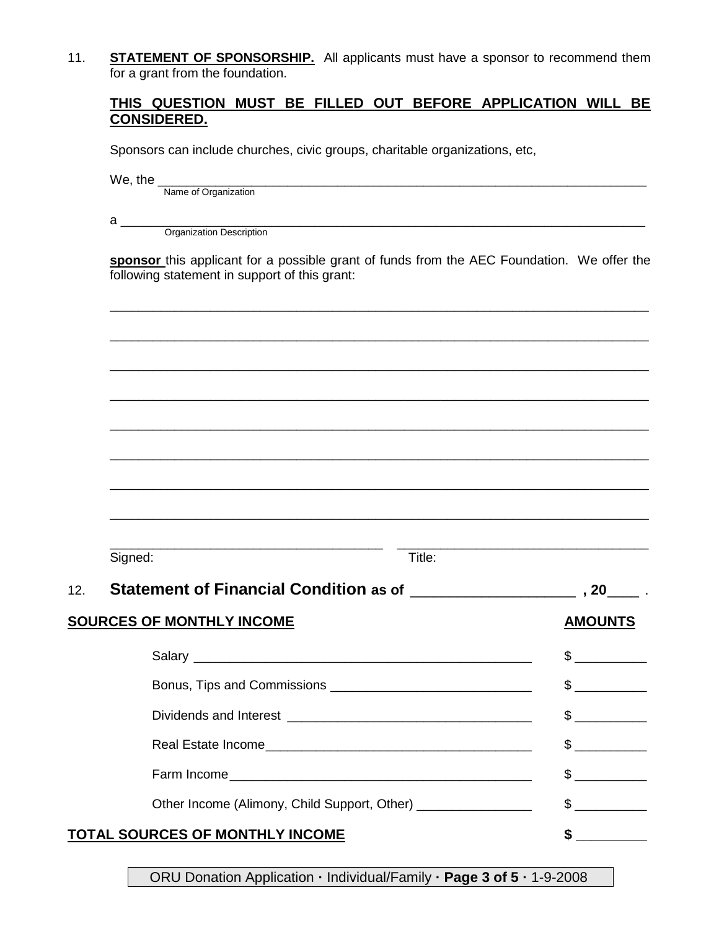11. **STATEMENT OF SPONSORSHIP.** All applicants must have a sponsor to recommend them for a grant from the foundation.

## **THIS QUESTION MUST BE FILLED OUT BEFORE APPLICATION WILL BE CONSIDERED.**

Sponsors can include churches, civic groups, charitable organizations, etc,

We, the \_\_\_\_\_\_\_\_\_\_\_\_\_\_\_\_\_\_\_\_\_\_\_\_\_\_\_\_\_\_\_\_\_\_\_\_\_\_\_\_\_\_\_\_\_\_\_\_\_\_\_\_\_\_\_\_\_\_\_\_\_\_\_\_\_\_\_\_

Name of Organization

a \_\_\_\_\_\_\_\_\_\_\_\_\_\_\_\_\_\_\_\_\_\_\_\_\_\_\_\_\_\_\_\_\_\_\_\_\_\_\_\_\_\_\_\_\_\_\_\_\_\_\_\_\_\_\_\_\_\_\_\_\_\_\_\_\_\_\_\_\_\_\_\_\_

Organization Description

**sponsor** this applicant for a possible grant of funds from the AEC Foundation. We offer the following statement in support of this grant:

\_\_\_\_\_\_\_\_\_\_\_\_\_\_\_\_\_\_\_\_\_\_\_\_\_\_\_\_\_\_\_\_\_\_\_\_\_\_\_\_\_\_\_\_\_\_\_\_\_\_\_\_\_\_\_\_\_\_\_\_\_\_\_\_\_\_\_\_\_\_\_\_\_\_\_

\_\_\_\_\_\_\_\_\_\_\_\_\_\_\_\_\_\_\_\_\_\_\_\_\_\_\_\_\_\_\_\_\_\_\_\_\_\_\_\_\_\_\_\_\_\_\_\_\_\_\_\_\_\_\_\_\_\_\_\_\_\_\_\_\_\_\_\_\_\_\_\_\_\_\_

\_\_\_\_\_\_\_\_\_\_\_\_\_\_\_\_\_\_\_\_\_\_\_\_\_\_\_\_\_\_\_\_\_\_\_\_\_\_\_\_\_\_\_\_\_\_\_\_\_\_\_\_\_\_\_\_\_\_\_\_\_\_\_\_\_\_\_\_\_\_\_\_\_\_\_

|     | Signed:                                                       | Title: |                      |  |
|-----|---------------------------------------------------------------|--------|----------------------|--|
| 12. |                                                               |        |                      |  |
|     | <b>SOURCES OF MONTHLY INCOME</b>                              |        | <b>AMOUNTS</b>       |  |
|     |                                                               |        | $\mathbb{S}$         |  |
|     |                                                               |        | $\frac{1}{2}$        |  |
|     |                                                               |        | $\frac{1}{\sqrt{2}}$ |  |
|     |                                                               |        | $\frac{1}{2}$        |  |
|     |                                                               |        | $\frac{1}{2}$        |  |
|     | Other Income (Alimony, Child Support, Other) ________________ |        | $\frac{1}{2}$        |  |
|     | TOTAL SOURCES OF MONTHLY INCOME                               |        | \$                   |  |

ORU Donation Application **·** Individual/Family **· Page 3 of 5 ·** 1-9-2008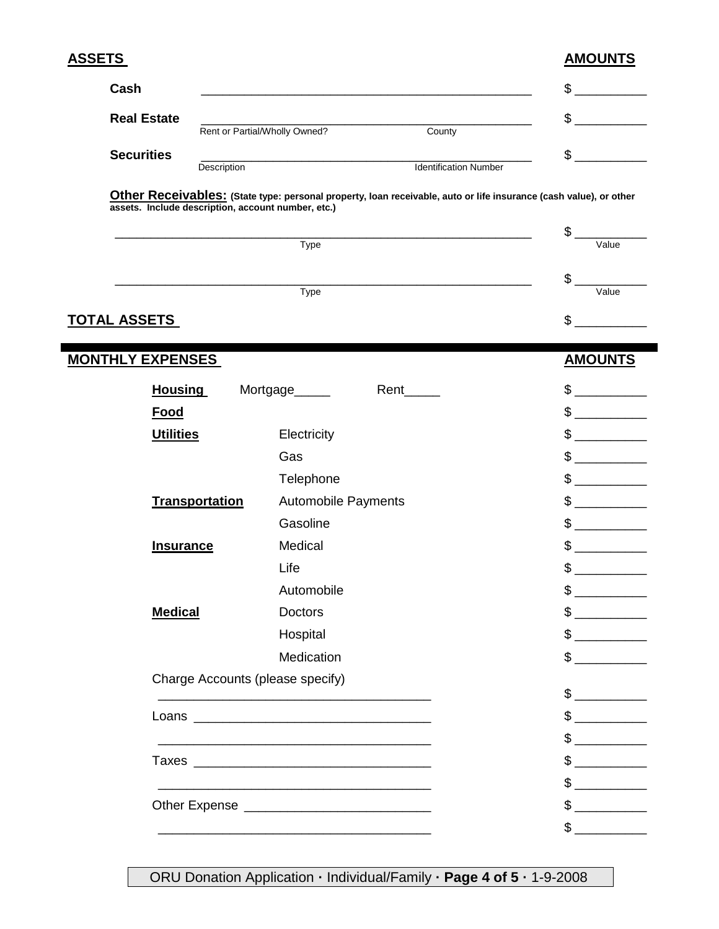| <u>ASSETS</u>                                      |                                                                                                                     |                                                                                                                   | <b>AMOUNTS</b>                                                                                                                                                                                                                                                                                                                                                                                                       |
|----------------------------------------------------|---------------------------------------------------------------------------------------------------------------------|-------------------------------------------------------------------------------------------------------------------|----------------------------------------------------------------------------------------------------------------------------------------------------------------------------------------------------------------------------------------------------------------------------------------------------------------------------------------------------------------------------------------------------------------------|
| Cash                                               |                                                                                                                     |                                                                                                                   | \$                                                                                                                                                                                                                                                                                                                                                                                                                   |
| <b>Real Estate</b>                                 |                                                                                                                     |                                                                                                                   | \$                                                                                                                                                                                                                                                                                                                                                                                                                   |
|                                                    | Rent or Partial/Wholly Owned?                                                                                       | County                                                                                                            |                                                                                                                                                                                                                                                                                                                                                                                                                      |
| <b>Securities</b><br>Description                   |                                                                                                                     | <b>Identification Number</b>                                                                                      | \$                                                                                                                                                                                                                                                                                                                                                                                                                   |
| assets. Include description, account number, etc.) |                                                                                                                     | Other Receivables: (State type: personal property, Ioan receivable, auto or life insurance (cash value), or other | \$                                                                                                                                                                                                                                                                                                                                                                                                                   |
|                                                    | Type                                                                                                                |                                                                                                                   | Value                                                                                                                                                                                                                                                                                                                                                                                                                |
|                                                    |                                                                                                                     |                                                                                                                   | \$                                                                                                                                                                                                                                                                                                                                                                                                                   |
|                                                    | Type                                                                                                                |                                                                                                                   | Value                                                                                                                                                                                                                                                                                                                                                                                                                |
| TOTAL ASSETS                                       |                                                                                                                     |                                                                                                                   | \$                                                                                                                                                                                                                                                                                                                                                                                                                   |
| <u>MONTHLY EXPENSES</u>                            |                                                                                                                     |                                                                                                                   | <b>AMOUNTS</b>                                                                                                                                                                                                                                                                                                                                                                                                       |
| <b>Housing</b>                                     | Mortgage                                                                                                            | Rent                                                                                                              | $\frac{1}{2}$                                                                                                                                                                                                                                                                                                                                                                                                        |
| <b>Food</b>                                        |                                                                                                                     |                                                                                                                   |                                                                                                                                                                                                                                                                                                                                                                                                                      |
| <b>Utilities</b>                                   | Electricity                                                                                                         |                                                                                                                   | $\frac{1}{2}$                                                                                                                                                                                                                                                                                                                                                                                                        |
|                                                    | Gas                                                                                                                 |                                                                                                                   | $\frac{1}{2}$                                                                                                                                                                                                                                                                                                                                                                                                        |
|                                                    | Telephone                                                                                                           |                                                                                                                   | $\frac{1}{\sqrt{1-\frac{1}{2}}\sqrt{1-\frac{1}{2}}\sqrt{1-\frac{1}{2}}\sqrt{1-\frac{1}{2}}\sqrt{1-\frac{1}{2}}\sqrt{1-\frac{1}{2}}\sqrt{1-\frac{1}{2}}\sqrt{1-\frac{1}{2}}\sqrt{1-\frac{1}{2}}\sqrt{1-\frac{1}{2}}\sqrt{1-\frac{1}{2}}\sqrt{1-\frac{1}{2}}\sqrt{1-\frac{1}{2}}\sqrt{1-\frac{1}{2}}\sqrt{1-\frac{1}{2}}\sqrt{1-\frac{1}{2}}\sqrt{1-\frac{1}{2}}\sqrt{1-\frac{1}{2}}\sqrt{1-\frac{1}{2}}\sqrt{1-\frac$ |
| <b>Transportation</b>                              | <b>Automobile Payments</b>                                                                                          |                                                                                                                   | $\frac{1}{2}$                                                                                                                                                                                                                                                                                                                                                                                                        |
|                                                    | Gasoline                                                                                                            |                                                                                                                   | $\frac{1}{\sqrt{1-\frac{1}{2}}\sqrt{1-\frac{1}{2}}\left(\frac{1}{2}-\frac{1}{2}\right)}$                                                                                                                                                                                                                                                                                                                             |
| <b>Insurance</b>                                   | Medical                                                                                                             |                                                                                                                   | $\mathbb S$                                                                                                                                                                                                                                                                                                                                                                                                          |
|                                                    | Life                                                                                                                |                                                                                                                   | $\mathbf{\hat{z}}$                                                                                                                                                                                                                                                                                                                                                                                                   |
|                                                    | Automobile                                                                                                          |                                                                                                                   | $\frac{1}{2}$                                                                                                                                                                                                                                                                                                                                                                                                        |
| <b>Medical</b>                                     | <b>Doctors</b>                                                                                                      |                                                                                                                   | $\frac{1}{\sqrt{2}}$                                                                                                                                                                                                                                                                                                                                                                                                 |
|                                                    | Hospital                                                                                                            |                                                                                                                   | $\frac{1}{2}$                                                                                                                                                                                                                                                                                                                                                                                                        |
|                                                    | Medication                                                                                                          |                                                                                                                   | $\frac{1}{2}$                                                                                                                                                                                                                                                                                                                                                                                                        |
|                                                    | Charge Accounts (please specify)                                                                                    |                                                                                                                   |                                                                                                                                                                                                                                                                                                                                                                                                                      |
|                                                    |                                                                                                                     |                                                                                                                   | $\frac{1}{2}$                                                                                                                                                                                                                                                                                                                                                                                                        |
|                                                    |                                                                                                                     |                                                                                                                   | $\frac{1}{2}$                                                                                                                                                                                                                                                                                                                                                                                                        |
|                                                    | <u> 1989 - Johann John Stone, meny ambany amin'ny fivondronan-kaominin'i Paris (no ben'ny faritr'i Nord-Amerika</u> |                                                                                                                   | $\frac{1}{2}$                                                                                                                                                                                                                                                                                                                                                                                                        |
|                                                    |                                                                                                                     |                                                                                                                   | $\frac{1}{2}$                                                                                                                                                                                                                                                                                                                                                                                                        |
|                                                    | <u> 1989 - Andrea Stadt Britain, amerikansk politik (* 1958)</u>                                                    |                                                                                                                   | $\frac{1}{2}$                                                                                                                                                                                                                                                                                                                                                                                                        |
|                                                    |                                                                                                                     |                                                                                                                   | $\frac{1}{\sqrt{2}}$                                                                                                                                                                                                                                                                                                                                                                                                 |
|                                                    |                                                                                                                     |                                                                                                                   | $\frac{1}{2}$                                                                                                                                                                                                                                                                                                                                                                                                        |

ORU Donation Application **·** Individual/Family **· Page 4 of 5 ·** 1-9-2008